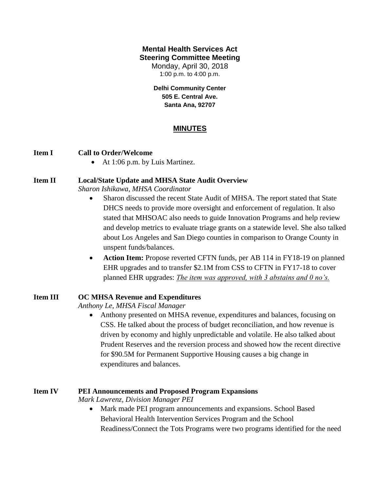## **Mental Health Services Act Steering Committee Meeting**

Monday, April 30, 2018 1:00 p.m. to 4:00 p.m.

**Delhi Community Center 505 E. Central Ave. Santa Ana, 92707**

# **MINUTES**

#### **Item I Call to Order/Welcome**

• At 1:06 p.m. by Luis Martinez.

#### **Item II Local/State Update and MHSA State Audit Overview**

*Sharon Ishikawa, MHSA Coordinator*

- Sharon discussed the recent State Audit of MHSA. The report stated that State DHCS needs to provide more oversight and enforcement of regulation. It also stated that MHSOAC also needs to guide Innovation Programs and help review and develop metrics to evaluate triage grants on a statewide level. She also talked about Los Angeles and San Diego counties in comparison to Orange County in unspent funds/balances.
- **Action Item:** Propose reverted CFTN funds, per AB 114 in FY18-19 on planned EHR upgrades and to transfer \$2.1M from CSS to CFTN in FY17-18 to cover planned EHR upgrades: *The item was approved, with 3 abstains and 0 no's.*

## **Item III OC MHSA Revenue and Expenditures**

*Anthony Le, MHSA Fiscal Manager*

 Anthony presented on MHSA revenue, expenditures and balances, focusing on CSS. He talked about the process of budget reconciliation, and how revenue is driven by economy and highly unpredictable and volatile. He also talked about Prudent Reserves and the reversion process and showed how the recent directive for \$90.5M for Permanent Supportive Housing causes a big change in expenditures and balances.

#### **Item IV PEI Announcements and Proposed Program Expansions**

*Mark Lawrenz, Division Manager PEI*

• Mark made PEI program announcements and expansions. School Based Behavioral Health Intervention Services Program and the School Readiness/Connect the Tots Programs were two programs identified for the need